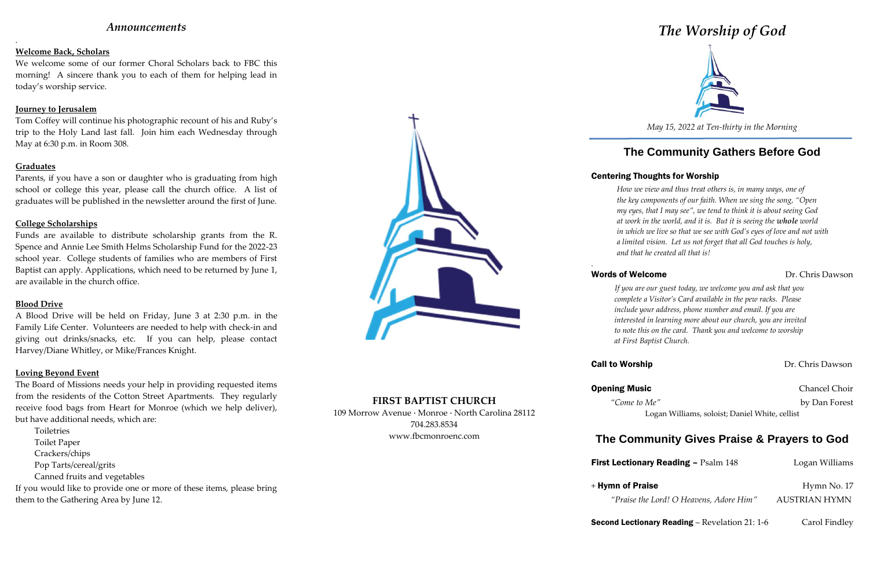## *Announcements*

.

### **Welcome Back, Scholars**

We welcome some of our former Choral Scholars back to FBC this morning! A sincere thank you to each of them for helping lead in today's worship service.

### **Journey to Jerusalem**

Tom Coffey will continue his photographic recount of his and Ruby's trip to the Holy Land last fall. Join him each Wednesday through May at 6:30 p.m. in Room 308.

### **Graduates**

Parents, if you have a son or daughter who is graduating from high school or college this year, please call the church office. A list of graduates will be published in the newsletter around the first of June.

### **College Scholarships**

Funds are available to distribute scholarship grants from the R. Spence and Annie Lee Smith Helms Scholarship Fund for the 2022-23 school year. College students of families who are members of First Baptist can apply. Applications, which need to be returned by June 1, are available in the church office.

### **Blood Drive**

A Blood Drive will be held on Friday, June 3 at 2:30 p.m. in the Family Life Center. Volunteers are needed to help with check-in and giving out drinks/snacks, etc. If you can help, please contact Harvey/Diane Whitley, or Mike/Frances Knight.

### **Loving Beyond Event**

The Board of Missions needs your help in providing requested items from the residents of the Cotton Street Apartments. They regularly receive food bags from Heart for Monroe (which we help deliver), but have additional needs, which are:

Toiletries Toilet Paper Crackers/chips Pop Tarts/cereal/grits Canned fruits and vegetables If you would like to provide one or more of these items, please bring

them to the Gathering Area by June 12.



## **FIRST BAPTIST CHURCH**

109 Morrow Avenue · Monroe · North Carolina 28112 704.283.8534 www.fbcmonroenc.com

# *The Worship of God*



*May 15, 2022 at Ten-thirty in the Morning*

# **The Community Gathers Before God**

## Centering Thoughts for Worship

## Words of Welcome **Dr.** Chris Dawson

*How we view and thus treat others is, in many ways, one of the key components of our faith. When we sing the song, "Open my eyes, that I may see", we tend to think it is about seeing God at work in the world, and it is. But it is seeing the whole world in which we live so that we see with God's eyes of love and not with a limited vision. Let us not forget that all God touches is holy, and that he created all that is!*

*.*

*If you are our guest today, we welcome you and ask that you complete a Visitor's Card available in the pew racks. Please include your address, phone number and email. If you are interested in learning more about our church, you are invited to note this on the card. Thank you and welcome to worship at First Baptist Church.*

## **Call to Worship Dr. Chris Dawson**

## **Opening Music** Chancel Choir

*"Come to Me"* by Dan Forest

Logan Williams, soloist; Daniel White, cellist

# **The Community Gives Praise & Prayers to God**

**First Lection** 

 $+$  Hymn of P

**Second Lectionary Reading** – Revelation 21: 1-6 Carol Findley

| <b>Lectionary Reading - Psalm 148</b>   | Logan Williams       |
|-----------------------------------------|----------------------|
| nn of Praise                            | Hymn No. 17          |
| "Praise the Lord! O Heavens, Adore Him" | <b>AUSTRIAN HYMN</b> |
|                                         |                      |